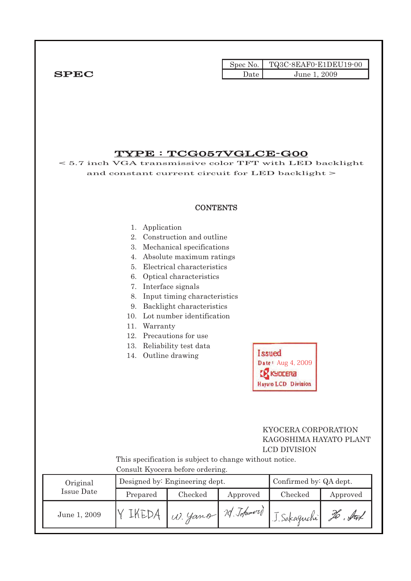|              |      | $\text{Spec No.}$ $\blacksquare$ TQ3C-8EAF0-E1DEU19-00 |
|--------------|------|--------------------------------------------------------|
| ${\bf SPEC}$ | Jate | June 1, 2009                                           |

## TYPE : TCG057VGLCE-G00

< 5.7 inch VGA transmissive color TFT with LED backlight and constant current circuit for LED backlight >

#### **CONTENTS**

#### 1. Application

- 2. Construction and outline
- 3. Mechanical specifications
- 4. Absolute maximum ratings
- 5. Electrical characteristics
- 6. Optical characteristics
- 7. Interface signals
- 8. Input timing characteristics
- 9. Backlight characteristics
- 10. Lot number identification
- 11. Warranty
- 12. Precautions for use
- 13. Reliability test data
- 14. Outline drawing

| <b>Issued</b>              |
|----------------------------|
| Date: Aug 4, 2009          |
| <b>EX KYDCERA</b>          |
| <b>Hayato LCD Division</b> |

### KYOCERA CORPORATION KAGOSHIMA HAYATO PLANT LCD DIVISION

 This specification is subject to change without notice. Consult Kyocera before ordering.

| Original     | Designed by: Engineering dept. |                                                              |          | Confirmed by: QA dept. |          |
|--------------|--------------------------------|--------------------------------------------------------------|----------|------------------------|----------|
| Issue Date   | Prepared                       | Checked                                                      | Approved | Checked                | Approved |
| June 1, 2009 |                                | $\mid$ W. Yamo $ \mathcal{U}.\mathcal{I}$ ohurer $\parallel$ |          | J. Sakaguchi           | To . fut |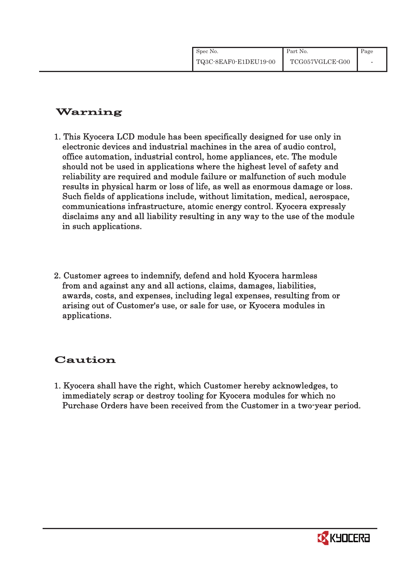| Spec No.              | Part No.        | Page |
|-----------------------|-----------------|------|
| TQ3C-8EAF0-E1DEU19-00 | TCG057VGLCE-G00 |      |

# Warning

- 1. This Kyocera LCD module has been specifically designed for use only in electronic devices and industrial machines in the area of audio control, office automation, industrial control, home appliances, etc. The module should not be used in applications where the highest level of safety and reliability are required and module failure or malfunction of such module results in physical harm or loss of life, as well as enormous damage or loss. Such fields of applications include, without limitation, medical, aerospace, communications infrastructure, atomic energy control. Kyocera expressly disclaims any and all liability resulting in any way to the use of the module in such applications.
- 2. Customer agrees to indemnify, defend and hold Kyocera harmless from and against any and all actions, claims, damages, liabilities, awards, costs, and expenses, including legal expenses, resulting from or arising out of Customer's use, or sale for use, or Kyocera modules in applications.

# Caution

1. Kyocera shall have the right, which Customer hereby acknowledges, to immediately scrap or destroy tooling for Kyocera modules for which no Purchase Orders have been received from the Customer in a two-year period.

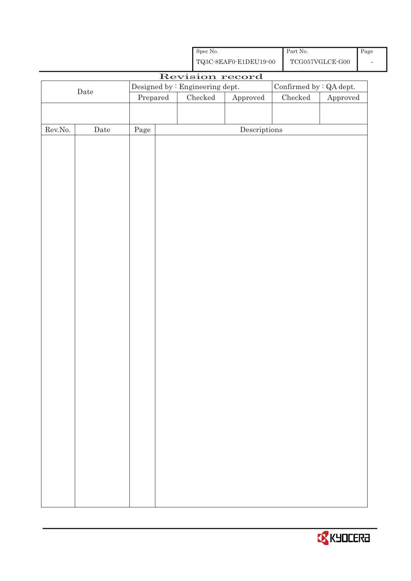|                                                                                      |             |                                  | Spec No.        | ${\bf TQ3C\text{-}SEAF0\text{-}E1DEU19\text{-}00}$ | Part No. | $\operatorname{TCG057VGLCE\text{-}GO0}$ | Page |
|--------------------------------------------------------------------------------------|-------------|----------------------------------|-----------------|----------------------------------------------------|----------|-----------------------------------------|------|
|                                                                                      |             |                                  |                 |                                                    |          |                                         |      |
| Revision record<br>Designed by : Engineering dept.<br>Confirmed by $\colon$ QA dept. |             |                                  |                 |                                                    |          |                                         |      |
|                                                                                      | $\rm{Date}$ | $\ensuremath{\mathrm{Prepared}}$ | ${\it Checked}$ | ${\Large\bf Approved}$                             | Checked  | Approved                                |      |
|                                                                                      |             |                                  |                 |                                                    |          |                                         |      |
|                                                                                      |             |                                  |                 |                                                    |          |                                         |      |
| ${\rm Rev. No.}$                                                                     | Date        | $\rm Page$                       |                 | $\label{eq:2} \textbf{Descriptions}$               |          |                                         |      |
|                                                                                      |             |                                  |                 |                                                    |          |                                         |      |
|                                                                                      |             |                                  |                 |                                                    |          |                                         |      |
|                                                                                      |             |                                  |                 |                                                    |          |                                         |      |
|                                                                                      |             |                                  |                 |                                                    |          |                                         |      |
|                                                                                      |             |                                  |                 |                                                    |          |                                         |      |
|                                                                                      |             |                                  |                 |                                                    |          |                                         |      |
|                                                                                      |             |                                  |                 |                                                    |          |                                         |      |
|                                                                                      |             |                                  |                 |                                                    |          |                                         |      |
|                                                                                      |             |                                  |                 |                                                    |          |                                         |      |
|                                                                                      |             |                                  |                 |                                                    |          |                                         |      |
|                                                                                      |             |                                  |                 |                                                    |          |                                         |      |
|                                                                                      |             |                                  |                 |                                                    |          |                                         |      |
|                                                                                      |             |                                  |                 |                                                    |          |                                         |      |
|                                                                                      |             |                                  |                 |                                                    |          |                                         |      |
|                                                                                      |             |                                  |                 |                                                    |          |                                         |      |
|                                                                                      |             |                                  |                 |                                                    |          |                                         |      |
|                                                                                      |             |                                  |                 |                                                    |          |                                         |      |
|                                                                                      |             |                                  |                 |                                                    |          |                                         |      |
|                                                                                      |             |                                  |                 |                                                    |          |                                         |      |
|                                                                                      |             |                                  |                 |                                                    |          |                                         |      |
|                                                                                      |             |                                  |                 |                                                    |          |                                         |      |
|                                                                                      |             |                                  |                 |                                                    |          |                                         |      |
|                                                                                      |             |                                  |                 |                                                    |          |                                         |      |
|                                                                                      |             |                                  |                 |                                                    |          |                                         |      |
|                                                                                      |             |                                  |                 |                                                    |          |                                         |      |
|                                                                                      |             |                                  |                 |                                                    |          |                                         |      |
|                                                                                      |             |                                  |                 |                                                    |          |                                         |      |
|                                                                                      |             |                                  |                 |                                                    |          |                                         |      |
|                                                                                      |             |                                  |                 |                                                    |          |                                         |      |
|                                                                                      |             |                                  |                 |                                                    |          |                                         |      |
|                                                                                      |             |                                  |                 |                                                    |          |                                         |      |
|                                                                                      |             |                                  |                 |                                                    |          |                                         |      |

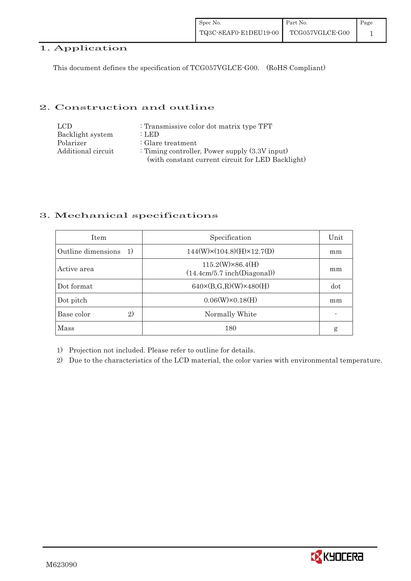## 1. Application

This document defines the specification of TCG057VGLCE-G00. (RoHS Compliant)

### 2. Construction and outline

| LCD.               | : Transmissive color dot matrix type TFT          |
|--------------------|---------------------------------------------------|
| Backlight system   | : LED                                             |
| Polarizer          | $:$ Glare treatment                               |
| Additional circuit | : Timing controller, Power supply $(3.3V)$ input) |
|                    | (with constant current circuit for LED Backlight) |

### 3. Mechanical specifications

| <b>Item</b>                        | Specification                                          | Unit |
|------------------------------------|--------------------------------------------------------|------|
| Outline dimensions<br><sup>1</sup> | $144(W)\times(104.8)(H)\times12.7(D)$                  | mm   |
| Active area                        | $115.2(W)\times86.4(H)$<br>(14.4cm/5.7 inch(Diagonal)) | mm   |
| Dot format                         | $640 \times (B,G,R)(W) \times 480(H)$                  | dot  |
| Dot pitch                          | $0.06(W)\times0.18(H)$                                 | mm   |
| Base color<br>$\mathfrak{D}$       | Normally White                                         |      |
| Mass                               | 180                                                    | g    |

1) Projection not included. Please refer to outline for details.

2) Due to the characteristics of the LCD material, the color varies with environmental temperature.

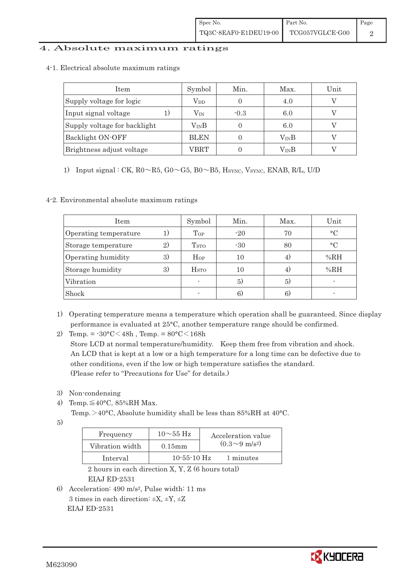### 4. Absolute maximum ratings

4-1.Electrical absolute maximum ratings

| Item                         | Symbol           | Min.   | Max.          | Unit |
|------------------------------|------------------|--------|---------------|------|
| Supply voltage for logic     | $\rm V_{DD}$     |        | 4.0           |      |
| Input signal voltage         | $\rm V_{\rm IN}$ | $-0.3$ | 6.0           |      |
| Supply voltage for backlight | $\rm V_{IN}B$    |        | 6.0           |      |
| Backlight ON-OFF             | <b>BLEN</b>      |        | $\rm V_{IN}B$ |      |
| Brightness adjust voltage    | VBRT             |        | VinB          |      |

1) Input signal : CK,  $R0 \sim R5$ ,  $G0 \sim G5$ ,  $B0 \sim B5$ , Hsync, Vsync, ENAB, R/L, U/D

#### 4-2. Environmental absolute maximum ratings

| Item                  |    | Symbol                   | Min.  | Max. | Unit      |
|-----------------------|----|--------------------------|-------|------|-----------|
| Operating temperature |    | Top                      | $-20$ | 70   | $\circ$ C |
| Storage temperature   | 2) | <b>T</b> <sub>STO</sub>  | $-30$ | 80   | $\circ$ C |
| Operating humidity    | 3) | $H_{OP}$                 | 10    | 4)   | %RH       |
| Storage humidity      | 3) | <b>H</b> <sub>sto</sub>  | 10    | 4)   | %RH       |
| Vibration             |    |                          | 5)    | 5)   |           |
| Shock                 |    | $\overline{\phantom{0}}$ | 6)    | 6.   |           |

- 1) Operating temperature means a temperature which operation shall be guaranteed. Since display performance is evaluated at 25°C, another temperature range should be confirmed.
- 2) Temp. =  $-30^{\circ}$ C $<$ 48h, Temp. =  $80^{\circ}$ C $<$ 168h Store LCD at normal temperature/humidity. Keep them free from vibration and shock. An LCD that is kept at a low or a high temperature for a long time can be defective due to other conditions, even if the low or high temperature satisfies the standard.
	- (Please refer to "Precautions for Use" for details.)
- 3) Non-condensing
- 4) Temp. $\leq$ 40°C, 85%RH Max.
	- Temp. >40°C, Absolute humidity shall be less than 85%RH at 40°C.
- 5)

| Frequency       | $10\mathtt{\sim}55~\mathrm{Hz}$ | Acceleration value         |
|-----------------|---------------------------------|----------------------------|
| Vibration width | $0.15$ mm                       | $(0.3{\sim}9~{\rm m/s^2})$ |
| Interval        | $10 - 55 - 10$ Hz               | 1 minutes                  |

 2 hours in each direction X, Y, Z (6 hours total) EIAJ ED-2531

6) Acceleration: 490 m/s2, Pulse width: 11 ms 3 times in each direction:  $\pm X$ ,  $\pm Y$ ,  $\pm Z$ EIAJ ED-2531

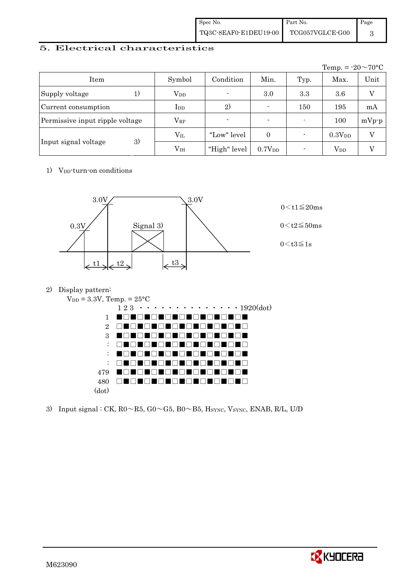| Spec No.              | Part No.                       | Page |
|-----------------------|--------------------------------|------|
| TQ3C-8EAF0-E1DEU19-00 | ${\rm TCG057VGLCE\hbox{-}GO0}$ |      |

## 5. Electrical characteristics

|                                 |                 |                          |                          |      | Temp. = $-20 \sim 70$ °C |         |
|---------------------------------|-----------------|--------------------------|--------------------------|------|--------------------------|---------|
| Item                            | Symbol          | Condition                | Min.                     | Typ. | Max.                     | Unit    |
| Supply voltage<br>1)            | $V_{DD}$        | $\overline{\phantom{a}}$ | 3.0                      | 3.3  | 3.6                      |         |
| Current consumption             | $_{\rm{LDD}}$   | 2)                       | $\overline{\phantom{0}}$ | 150  | 195                      | mA      |
| Permissive input ripple voltage | $\rm V_{RP}$    |                          | $\overline{\phantom{0}}$ |      | 100                      | $mVp-p$ |
|                                 | $\rm V_{II}$    | "Low" level              | $\Omega$                 |      | 0.3V <sub>DD</sub>       | V       |
| 3)<br>Input signal voltage      | V <sub>IH</sub> | "High" level             | 0.7V <sub>DD</sub>       |      | <b>V</b> <sub>DD</sub>   |         |

1) V<sub>DD</sub>-turn-on conditions



2) Display pattern:



3) Input signal : CK,  $R0 \sim R5$ ,  $G0 \sim G5$ ,  $B0 \sim B5$ , HSYNC, VSYNC, ENAB, R/L, U/D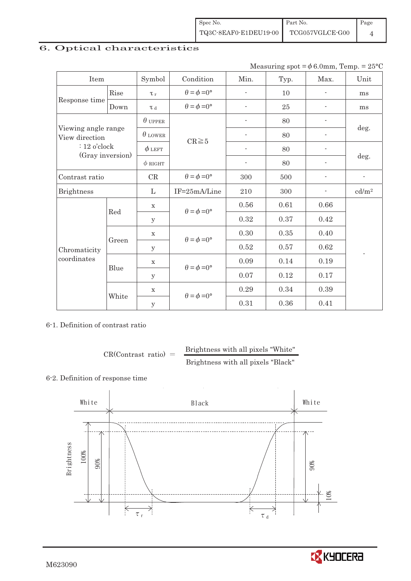# 6. Optical characteristics

Measuring spot =  $\phi$  6.0mm, Temp. = 25°C

| Item                                  |       | Symbol         | Condition                   | Min.                     | Typ. | Max. | Unit                     |  |
|---------------------------------------|-------|----------------|-----------------------------|--------------------------|------|------|--------------------------|--|
|                                       | Rise  | $\tau_r$       | $\theta = \phi = 0^{\circ}$ | $\overline{\phantom{a}}$ | 10   |      | ms                       |  |
| Response time                         | Down  | T d            | $\theta = \phi = 0^{\circ}$ |                          | 25   |      | ms                       |  |
|                                       |       | $\theta$ upper |                             | $\overline{a}$           | 80   |      |                          |  |
| Viewing angle range<br>View direction |       | $\theta$ LOWER | $CR \ge 5$                  |                          | 80   |      | deg.                     |  |
| $: 12$ o'clock                        |       | $\phi$ left    |                             | $\overline{\phantom{a}}$ | 80   | ÷    |                          |  |
| (Gray inversion)                      |       | $\phi$ RIGHT   |                             | $\overline{\phantom{a}}$ | 80   | ÷    | deg.                     |  |
| Contrast ratio                        |       | $\mathrm{CR}$  | $\theta = \phi = 0^{\circ}$ | 300                      | 500  |      | $\overline{\phantom{a}}$ |  |
| <b>Brightness</b>                     |       | L              | IF=25mA/Line                | $210\,$                  | 300  |      | cd/m <sup>2</sup>        |  |
|                                       | Red   | $\mathbf X$    | $\theta = \phi = 0^{\circ}$ | 0.56                     | 0.61 | 0.66 |                          |  |
|                                       |       | У              |                             | 0.32                     | 0.37 | 0.42 |                          |  |
|                                       | Green | $\mathbf X$    | $\theta = \phi = 0^{\circ}$ | 0.30                     | 0.35 | 0.40 |                          |  |
| Chromaticity                          |       | $\mathbf y$    |                             | 0.52                     | 0.57 | 0.62 | $\overline{a}$           |  |
| coordinates                           | Blue  | $\mathbf X$    |                             | 0.09                     | 0.14 | 0.19 |                          |  |
|                                       |       | У              | $\theta = \phi = 0^{\circ}$ | 0.07                     | 0.12 | 0.17 |                          |  |
|                                       |       | $\mathbf X$    |                             | 0.29                     | 0.34 | 0.39 |                          |  |
|                                       | White | y              | $\theta = \phi = 0^{\circ}$ | 0.31                     | 0.36 | 0.41 |                          |  |

6-1. Definition of contrast ratio

 $CR(Contrast ratio) =$  Brightness with all pixels "White" Brightness with all pixels "Black"

### 6-2. Definition of response time



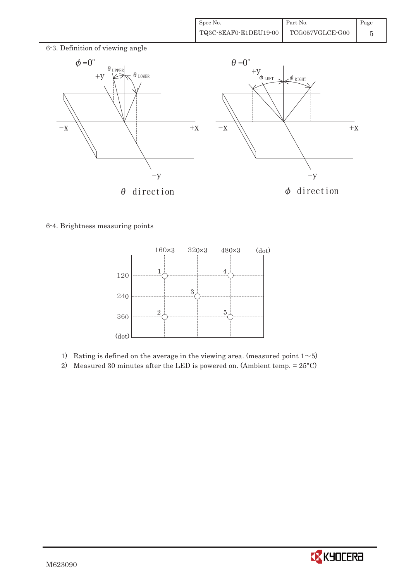

6-4. Brightness measuring points



- 1) Rating is defined on the average in the viewing area. (measured point  $1~>5$ )
- 2) Measured 30 minutes after the LED is powered on. (Ambient temp.  $= 25^{\circ}$ C)

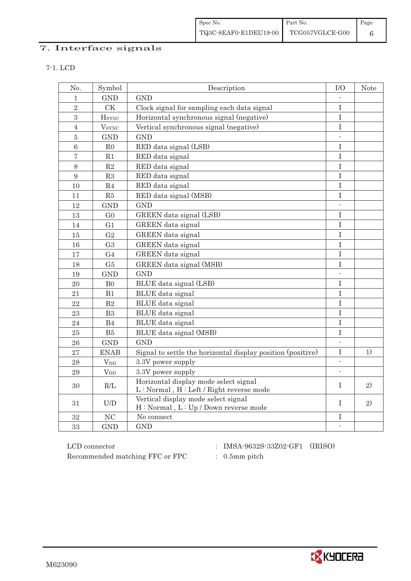| Spec No.              | Part No.        | $\vert$ Page |
|-----------------------|-----------------|--------------|
| TQ3C-8EAF0-E1DEU19-00 | TCG057VGLCE-G00 |              |

# 7. Interface signals

| × |
|---|

| No.              | Symbol                   | Description                                                 | $\rm I/O$                | <b>Note</b> |
|------------------|--------------------------|-------------------------------------------------------------|--------------------------|-------------|
| 1                | <b>GND</b>               | <b>GND</b>                                                  |                          |             |
| $\overline{2}$   | CK                       | Clock signal for sampling each data signal                  | $\rm I$                  |             |
| $\boldsymbol{3}$ | <b>H</b> sync            | Horizontal synchronous signal (negative)                    | $\mathbf I$              |             |
| $\overline{4}$   | <b>V</b> <sub>SYNC</sub> | Vertical synchronous signal (negative)                      | $\rm I$                  |             |
| $\overline{5}$   | <b>GND</b>               | <b>GND</b>                                                  | L.                       |             |
| $6\phantom{a}$   | ${\rm R0}$               | RED data signal (LSB)                                       | I                        |             |
| $\overline{7}$   | R1                       | RED data signal                                             | I                        |             |
| $8\,$            | $\mathbf{R}2$            | RED data signal                                             | $\rm I$                  |             |
| 9                | R3                       | RED data signal                                             | $\rm I$                  |             |
| 10               | R <sub>4</sub>           | RED data signal                                             | $\overline{I}$           |             |
| 11               | R5                       | RED data signal (MSB)                                       | $\rm I$                  |             |
| 12               | <b>GND</b>               | <b>GND</b>                                                  | $\overline{\phantom{a}}$ |             |
| 13               | G <sub>0</sub>           | GREEN data signal (LSB)                                     | $\mathbf I$              |             |
| 14               | G <sub>1</sub>           | <b>GREEN</b> data signal                                    | $\mathbf I$              |             |
| 15               | G <sub>2</sub>           | GREEN data signal                                           | $\mathbf I$              |             |
| 16               | G <sub>3</sub>           | GREEN data signal                                           | $\rm I$                  |             |
| 17               | G <sub>4</sub>           | GREEN data signal                                           | T                        |             |
| 18               | G5                       | GREEN data signal (MSB)                                     | I                        |             |
| 19               | <b>GND</b>               | <b>GND</b>                                                  |                          |             |
| 20               | B <sub>0</sub>           | BLUE data signal (LSB)                                      | I                        |             |
| 21               | B1                       | BLUE data signal                                            | $\rm I$                  |             |
| 22               | B <sub>2</sub>           | BLUE data signal                                            | $\mathbf I$              |             |
| 23               | B <sub>3</sub>           | BLUE data signal                                            | $\rm I$                  |             |
| 24               | B <sub>4</sub>           | <b>BLUE</b> data signal                                     | $\mathbf I$              |             |
| 25               | B5                       | BLUE data signal (MSB)                                      | $\mathbf I$              |             |
| 26               | <b>GND</b>               | <b>GND</b>                                                  | $\sim$                   |             |
| 27               | <b>ENAB</b>              | Signal to settle the horizontal display position (positive) | $\mathbf I$              | 1)          |
| 28               | <b>V</b> <sub>DD</sub>   | 3.3V power supply                                           | $\mathcal{L}$            |             |
| 29               | $V_{DD}$                 | 3.3V power supply                                           | $\overline{\phantom{a}}$ |             |
| 30               | R/L                      | Horizontal display mode select signal                       | T                        | 2)          |
|                  |                          | L: Normal, H: Left / Right reverse mode                     |                          |             |
| 31               | U/D                      | Vertical display mode select signal                         | T                        | 2)          |
|                  |                          | H: Normal, L: Up / Down reverse mode                        |                          |             |
| 32               | NC                       | No connect                                                  | I                        |             |
| 33               | <b>GND</b>               | <b>GND</b>                                                  | $\Box$                   |             |

 ${\rm LCD~connector}~~:~~{\rm IMSA\text{-}9632S\text{-}33Z02\text{-}GF1}~~({\rm IRISO})$ Recommended matching FFC or FPC  $\qquad \qquad : \quad$  0.5mm pitch

- 
- 

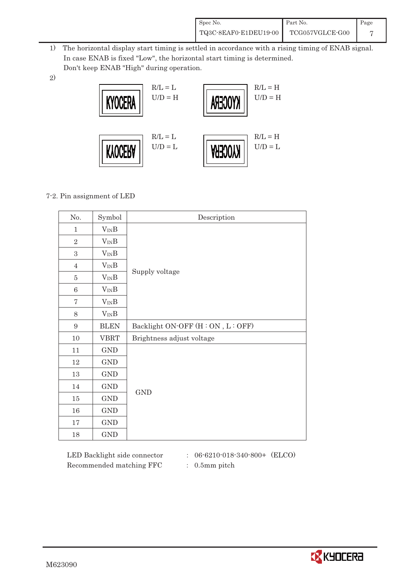| Spec No.              | Part No.        | Page |
|-----------------------|-----------------|------|
| TQ3C-8EAF0-E1DEU19-00 | TCG057VGLCE-G00 |      |

- 1) The horizontal display start timing is settled in accordance with a rising timing of ENAB signal. In case ENAB is fixed "Low", the horizontal start timing is determined. Don't keep ENAB "High" during operation.
- 2)



### 7-2. Pin assignment of LED

| No.              | Symbol      | Description                    |
|------------------|-------------|--------------------------------|
| $\mathbf{1}$     | $V_{IN}B$   |                                |
| $\overline{2}$   | $V_{IN}B$   |                                |
| 3                | $V_{IN}B$   |                                |
| $\overline{4}$   | $V_{IN}B$   |                                |
| $\overline{5}$   | $V_{IN}B$   | Supply voltage                 |
| $6\phantom{1}6$  | $V_{IN}B$   |                                |
| $\overline{7}$   | $V_{IN}B$   |                                |
| 8                | $V_{IN}B$   |                                |
| $\boldsymbol{9}$ | <b>BLEN</b> | Backlight ON-OFF (H:ON, L:OFF) |
| $10\,$           | <b>VBRT</b> | Brightness adjust voltage      |
| 11               | GND         |                                |
| $12\,$           | GND         |                                |
| 13               | <b>GND</b>  |                                |
| 14               | <b>GND</b>  | $\mathop{\mathrm{GND}}$        |
| $15\,$           | <b>GND</b>  |                                |
| 16               | <b>GND</b>  |                                |
| $17\,$           | GND         |                                |
| 18               | <b>GND</b>  |                                |

Recommended matching FFC : 0.5mm pitch

LED Backlight side connector : 06-6210-018-340-800+ (ELCO)

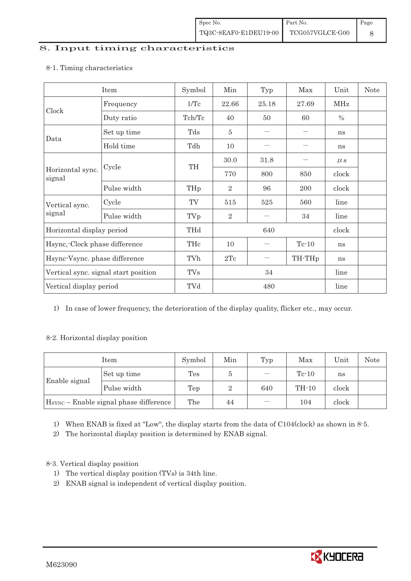#### 8. Input timing characteristics

# Item Symbol Min Typ Max Unit Note Frequency 1/Tc 22.66 25.18 27.69 MHz Clock Duty ratio  $\begin{array}{|c|c|c|c|c|c|c|c|c|} \hline \end{array}$  Tch/Tc  $\begin{array}{|c|c|c|c|c|c|c|} \hline \end{array}$  40  $\begin{array}{|c|c|c|c|c|c|} \hline \end{array}$  50  $\begin{array}{|c|c|c|c|c|} \hline \end{array}$  % Set up time Tds 5 ' ' ns Data Hold time  $\left| \begin{array}{ccc} \text{Tdh} & \end{array} \right|$  10  $\left| \begin{array}{ccc} \text{-} & \text{-} & \text{-} \end{array} \right|$  ns  $30.0$   $31.8$  | - |  $\mu$  s Cycle TH Horizontal sync. Cycle TH 770 800 850 clock signal Pulse width  $THp \mid 2 \mid 96 \mid 200 \mid clock$ Cycle TV 515 525 560 line Vertical sync. signal Pulse width TVp 2 ' 34 line Horizontal display period THd 640 640 clock Hsync,-Clock phase difference  $\vert$  THc  $\vert$  10  $\vert$  - Tc-10  $\vert$  ns Hsync-Vsync. phase difference  $\vert$  TVh  $\vert$  2Tc  $\vert$  - TH-THp ns Vertical sync. signal start position TVs 34 line Vertical display period  $\overline{V}$  TVd  $\overline{480}$  line

#### 8-1. Timing characteristics

1) In case of lower frequency, the deterioration of the display quality, flicker etc., may occur.

### 8-2. Horizontal display position

| Item                                               |             | Symbol | Min | Typ | Max     | Unit  | <b>Note</b> |
|----------------------------------------------------|-------------|--------|-----|-----|---------|-------|-------------|
| Enable signal                                      | Set up time | Tes    | Ð   |     | $Te-10$ | ns    |             |
|                                                    | Pulse width | Tep    | ິ   | 640 | $TH-10$ | clock |             |
| H <sub>SYNC</sub> - Enable signal phase difference |             | The    | 44  |     | 104     | clock |             |

1) When ENAB is fixed at "Low", the display starts from the data of C104(clock) as shown in 8-5.

2) The horizontal display position is determined by ENAB signal.

## 8-3. Vertical display position

- 1) The vertical display position (TVs) is 34th line.
- 2) ENAB signal is independent of vertical display position.

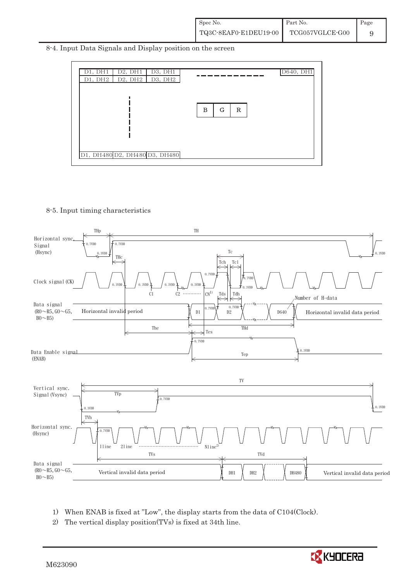8-4. Input Data Signals and Display position on the screen



8-5. Input timing characteristics



- 1) When ENAB is fixed at "Low", the display starts from the data of C104(Clock).
- 2) The vertical display position(TVs) is fixed at 34th line.

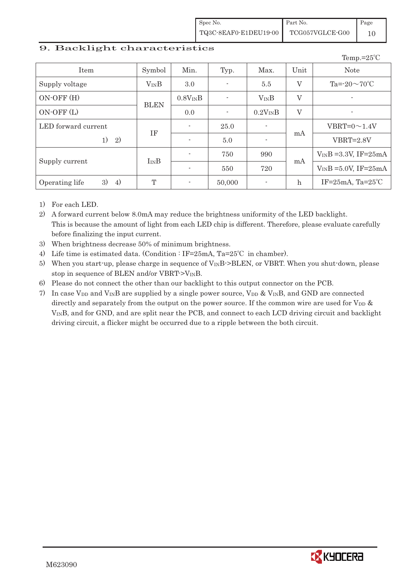Spec No. TQ3C-8EAF0-E1DEU19-00 Part No. TCG057VGLCE-G00 Page 10

#### 9. Backlight characteristics

|                            |             |                          |                          |                          |             | Temp.= $25^{\circ}$ C      |
|----------------------------|-------------|--------------------------|--------------------------|--------------------------|-------------|----------------------------|
| Item                       | Symbol      | Min.                     | Typ.                     | Max.                     | Unit        | <b>Note</b>                |
| Supply voltage             | $V_{IN}B$   | 3.0                      | $\overline{\phantom{a}}$ | 5.5                      | $\rm V$     | Ta= $-20\sim 70^{\circ}$ C |
| $ON-OFF(H)$                |             | $0.8V_{IN}B$             | $\overline{\phantom{a}}$ | $V_{IN}B$                | $\rm V$     | $\overline{\phantom{0}}$   |
| $ON-OFF(L)$                | <b>BLEN</b> | 0.0                      | $\overline{\phantom{a}}$ | $0.2V_{IN}B$             | $\rm V$     | ٠                          |
| LED forward current        |             | $\overline{\phantom{a}}$ | 25.0                     | $\overline{\phantom{a}}$ |             | $VBRT=0 \sim 1.4V$         |
| 2)<br>1)                   | IF          | $\overline{\phantom{a}}$ | 5.0                      |                          | mA          | $VBRT=2.8V$                |
|                            | $I_{IN}B$   | $\sim$                   | 750                      | 990                      |             | $V_{IN}B = 3.3V$ , IF=25mA |
| Supply current             |             | $\overline{\phantom{a}}$ | 550                      | 720                      | mA          | $V_{IN}B = 5.0V$ , IF=25mA |
| 4)<br>3)<br>Operating life | T           | $\overline{\phantom{a}}$ | 50,000                   | ٠                        | $\mathbf h$ | IF= $25mA$ , Ta= $25°C$    |

1) For each LED.

- 2) A forward current below 8.0mA may reduce the brightness uniformity of the LED backlight. This is because the amount of light from each LED chip is different. Therefore, please evaluate carefully before finalizing the input current.
- 3) When brightness decrease 50% of minimum brightness.
- 4) Life time is estimated data. (Condition : IF=25mA, Ta=25℃ in chamber).
- 5) When you start-up, please charge in sequence of V<sub>IN</sub>B->BLEN, or VBRT. When you shut-down, please stop in sequence of BLEN and/or VBRT- $>V_{\text{IN}}B$ .
- 6) Please do not connect the other than our backlight to this output connector on the PCB.
- 7) In case V<sub>DD</sub> and V<sub>IN</sub>B are supplied by a single power source, V<sub>DD</sub> & V<sub>IN</sub>B, and GND are connected directly and separately from the output on the power source. If the common wire are used for  $V_{DD}$  & VINB, and for GND, and are split near the PCB, and connect to each LCD driving circuit and backlight driving circuit, a flicker might be occurred due to a ripple between the both circuit.

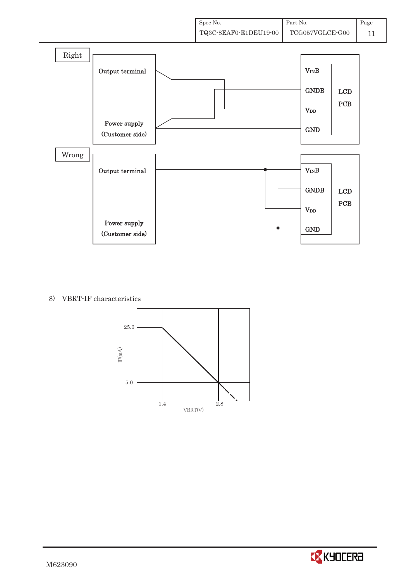

#### 8) VBRT-IF characteristics



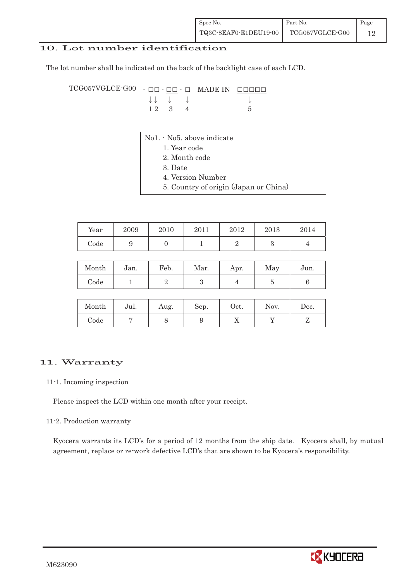### 10. Lot number identification

The lot number shall be indicated on the back of the backlight case of each LCD.

TCG057VGLCE-G00 - ## - ## - # MADE IN #####  $\downarrow \downarrow \quad \downarrow \qquad \qquad \downarrow$ 1 2 3 4 5

- No1. No5. above indicate
	- 1. Year code
	- 2. Month code
	- 3. Date
	- 4. Version Number
	- 5. Country of origin (Japan or China)

| Year | 2009 | 2010 | 2011 | 2012 | 2013 | 2014 |
|------|------|------|------|------|------|------|
| Code |      |      |      |      |      |      |

| Month | Jan. | Feb. | Mar. | Apr. | May | Jun. |
|-------|------|------|------|------|-----|------|
| Code  |      |      |      |      |     |      |

| Month | Jul. | Aug. | Sep. | Oct. | Nov. | Dec. |
|-------|------|------|------|------|------|------|
| Code  |      |      |      | ∡⊾   |      |      |

#### 11. Warranty

#### 11-1. Incoming inspection

Please inspect the LCD within one month after your receipt.

#### 11-2. Production warranty

 Kyocera warrants its LCD's for a period of 12 months from the ship date. Kyocera shall, by mutual agreement, replace or re-work defective LCD's that are shown to be Kyocera's responsibility.

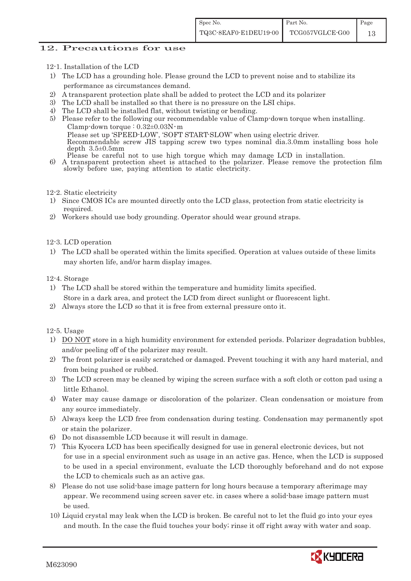### 12. Precautions for use

- 12-1. Installation of the LCD
- 1) The LCD has a grounding hole. Please ground the LCD to prevent noise and to stabilize its performance as circumstances demand.
- 2) A transparent protection plate shall be added to protect the LCD and its polarizer
- 3) The LCD shall be installed so that there is no pressure on the LSI chips.
- 4) The LCD shall be installed flat, without twisting or bending.
- 5) Please refer to the following our recommendable value of Clamp-down torque when installing. Clamp-down torque :  $0.32\pm0.03$ N·m Please set up 'SPEED-LOW', 'SOFT START-SLOW' when using electric driver. Recommendable screw JIS tapping screw two types nominal dia.3.0mm installing boss hole depth 3.5±0.5mm
- Please be careful not to use high torque which may damage LCD in installation. 6) A transparent protection sheet is attached to the polarizer. Please remove the protection film slowly before use, paying attention to static electricity.
- 12-2. Static electricity
- 1) Since CMOS ICs are mounted directly onto the LCD glass, protection from static electricity is required.
- 2) Workers should use body grounding. Operator should wear ground straps.

#### 12-3. LCD operation

1) The LCD shall be operated within the limits specified. Operation at values outside of these limits may shorten life, and/or harm display images.

#### 12-4. Storage

- 1) The LCD shall be stored within the temperature and humidity limits specified. Store in a dark area, and protect the LCD from direct sunlight or fluorescent light.
- 2) Always store the LCD so that it is free from external pressure onto it.

12-5. Usage

- 1) DO NOT store in a high humidity environment for extended periods. Polarizer degradation bubbles, and/or peeling off of the polarizer may result.
- 2) The front polarizer is easily scratched or damaged. Prevent touching it with any hard material, and from being pushed or rubbed.
- 3) The LCD screen may be cleaned by wiping the screen surface with a soft cloth or cotton pad using a little Ethanol.
- 4) Water may cause damage or discoloration of the polarizer. Clean condensation or moisture from any source immediately.
- 5) Always keep the LCD free from condensation during testing. Condensation may permanently spot or stain the polarizer.
- 6) Do not disassemble LCD because it will result in damage.
- 7) This Kyocera LCD has been specifically designed for use in general electronic devices, but not for use in a special environment such as usage in an active gas. Hence, when the LCD is supposed to be used in a special environment, evaluate the LCD thoroughly beforehand and do not expose the LCD to chemicals such as an active gas.
- 8) Please do not use solid-base image pattern for long hours because a temporary afterimage may appear. We recommend using screen saver etc. in cases where a solid-base image pattern must be used.
- 10) Liquid crystal may leak when the LCD is broken. Be careful not to let the fluid go into your eyes and mouth. In the case the fluid touches your body; rinse it off right away with water and soap.

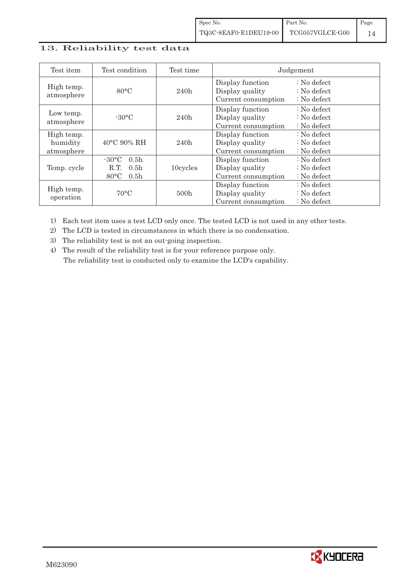## 13. Reliability test data

| Test item                            | Test condition                                                                                        | Test time        |                                                            | Judgement                                                                  |
|--------------------------------------|-------------------------------------------------------------------------------------------------------|------------------|------------------------------------------------------------|----------------------------------------------------------------------------|
| High temp.<br>atmosphere             | $80^{\circ}$ C                                                                                        | 240h             | Display function<br>Display quality<br>Current consumption | $: No$ defect<br>$\therefore$ No defect<br>$\therefore$ No defect          |
| Low temp.<br>atmosphere              | $-30^{\circ}$ C                                                                                       | 240h             | Display function<br>Display quality<br>Current consumption | $: No$ defect<br>: No defect<br>$: No$ defect                              |
| High temp.<br>humidity<br>atmosphere | 40°C 90% RH                                                                                           | 240h             | Display function<br>Display quality<br>Current consumption | : No defect<br>$\therefore$ No defect<br>$: No$ defect                     |
| Temp. cycle                          | $-30^{\circ}$ C<br>0.5 <sub>h</sub><br>0.5 <sub>h</sub><br>R.T.<br>$80^{\circ}$ C<br>0.5 <sub>h</sub> | 10cycles         | Display function<br>Display quality<br>Current consumption | $\therefore$ No defect<br>$\therefore$ No defect<br>$\therefore$ No defect |
| High temp.<br>operation              | $70^{\circ}$ C                                                                                        | 500 <sub>h</sub> | Display function<br>Display quality<br>Current consumption | : No defect<br>$\therefore$ No defect<br>$: No$ defect                     |

1) Each test item uses a test LCD only once. The tested LCD is not used in any other tests.

2) The LCD is tested in circumstances in which there is no condensation.

3) The reliability test is not an out-going inspection.

4) The result of the reliability test is for your reference purpose only. The reliability test is conducted only to examine the LCD's capability.

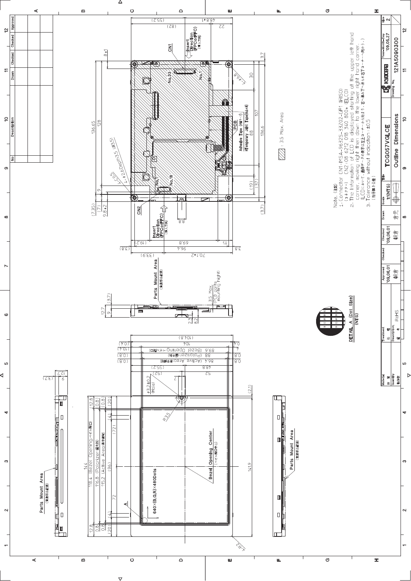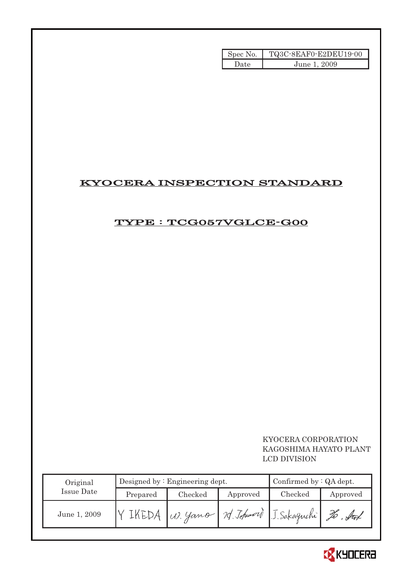| Spec No. | TQ3C-8EAF0-E2DEU19-00 |
|----------|-----------------------|
| Date     | June 1, 2009          |

# KYOCERA INSPECTION STANDARD

# TYPE : TCG057VGLCE-G00

## KYOCERA CORPORATION KAGOSHIMA HAYATO PLANT LCD DIVISION

| Original     |          | Designed by $:$ Engineering dept. | Confirmed by $:QA$ dept. |         |          |
|--------------|----------|-----------------------------------|--------------------------|---------|----------|
| Issue Date   | Prepared | Checked                           | Approved                 | Checked | Approved |
| June 1, 2009 |          | W. yano 12 Johnword J. Sakaguchi  |                          |         |          |

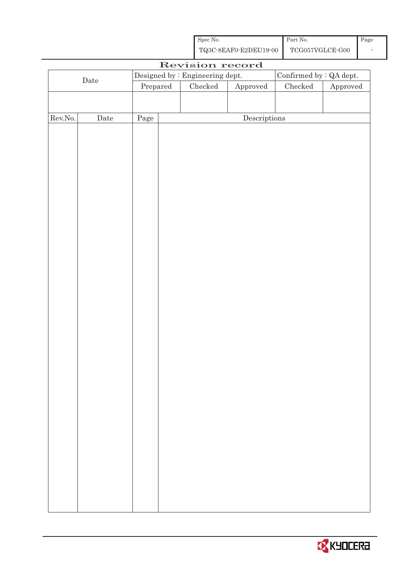| Spec No.              | Part No.        | Page |
|-----------------------|-----------------|------|
| TQ3C-8EAF0-E2DEU19-00 | TCG057VGLCE-G00 |      |

| Revision record  |             |                                                            |                                                                             |  |                                      |          |  |
|------------------|-------------|------------------------------------------------------------|-----------------------------------------------------------------------------|--|--------------------------------------|----------|--|
|                  |             | Designed by : Engineering dept.<br>Confirmed by : QA dept. |                                                                             |  |                                      |          |  |
| $\rm{Date}$      |             |                                                            | $\ensuremath{\mathrm{Prepared}}$<br>$\rm Checked$<br>${\Large\bf Approved}$ |  | ${\it Checked}$                      | Approved |  |
|                  |             |                                                            |                                                                             |  |                                      |          |  |
|                  |             |                                                            |                                                                             |  |                                      |          |  |
| ${\rm Rev. No.}$ | $\rm{Date}$ | Page                                                       |                                                                             |  | $\label{eq:2} \textbf{Descriptions}$ |          |  |
|                  |             |                                                            |                                                                             |  |                                      |          |  |
|                  |             |                                                            |                                                                             |  |                                      |          |  |
|                  |             |                                                            |                                                                             |  |                                      |          |  |
|                  |             |                                                            |                                                                             |  |                                      |          |  |
|                  |             |                                                            |                                                                             |  |                                      |          |  |
|                  |             |                                                            |                                                                             |  |                                      |          |  |
|                  |             |                                                            |                                                                             |  |                                      |          |  |
|                  |             |                                                            |                                                                             |  |                                      |          |  |
|                  |             |                                                            |                                                                             |  |                                      |          |  |
|                  |             |                                                            |                                                                             |  |                                      |          |  |
|                  |             |                                                            |                                                                             |  |                                      |          |  |
|                  |             |                                                            |                                                                             |  |                                      |          |  |
|                  |             |                                                            |                                                                             |  |                                      |          |  |
|                  |             |                                                            |                                                                             |  |                                      |          |  |
|                  |             |                                                            |                                                                             |  |                                      |          |  |
|                  |             |                                                            |                                                                             |  |                                      |          |  |
|                  |             |                                                            |                                                                             |  |                                      |          |  |
|                  |             |                                                            |                                                                             |  |                                      |          |  |
|                  |             |                                                            |                                                                             |  |                                      |          |  |
|                  |             |                                                            |                                                                             |  |                                      |          |  |
|                  |             |                                                            |                                                                             |  |                                      |          |  |
|                  |             |                                                            |                                                                             |  |                                      |          |  |
|                  |             |                                                            |                                                                             |  |                                      |          |  |
|                  |             |                                                            |                                                                             |  |                                      |          |  |
|                  |             |                                                            |                                                                             |  |                                      |          |  |
|                  |             |                                                            |                                                                             |  |                                      |          |  |
|                  |             |                                                            |                                                                             |  |                                      |          |  |
|                  |             |                                                            |                                                                             |  |                                      |          |  |
|                  |             |                                                            |                                                                             |  |                                      |          |  |
|                  |             |                                                            |                                                                             |  |                                      |          |  |
|                  |             |                                                            |                                                                             |  |                                      |          |  |
|                  |             |                                                            |                                                                             |  |                                      |          |  |
|                  |             |                                                            |                                                                             |  |                                      |          |  |
|                  |             |                                                            |                                                                             |  |                                      |          |  |
|                  |             |                                                            |                                                                             |  |                                      |          |  |

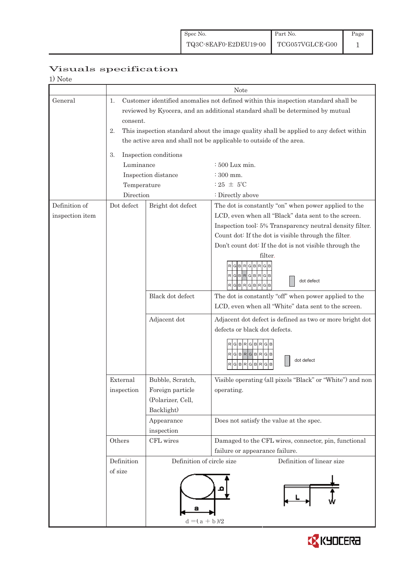| 1) Note                          |                                                                                                                                                                                                                                                                                                                                                              |                                                                                                                    |                                                                                                                                                                                                                                                                                                                                                                                                                                                                                                                                                                                      |  |  |  |  |
|----------------------------------|--------------------------------------------------------------------------------------------------------------------------------------------------------------------------------------------------------------------------------------------------------------------------------------------------------------------------------------------------------------|--------------------------------------------------------------------------------------------------------------------|--------------------------------------------------------------------------------------------------------------------------------------------------------------------------------------------------------------------------------------------------------------------------------------------------------------------------------------------------------------------------------------------------------------------------------------------------------------------------------------------------------------------------------------------------------------------------------------|--|--|--|--|
|                                  |                                                                                                                                                                                                                                                                                                                                                              | <b>Note</b>                                                                                                        |                                                                                                                                                                                                                                                                                                                                                                                                                                                                                                                                                                                      |  |  |  |  |
| General                          | Customer identified anomalies not defined within this inspection standard shall be<br>1.<br>reviewed by Kyocera, and an additional standard shall be determined by mutual<br>consent.<br>This inspection standard about the image quality shall be applied to any defect within<br>2.<br>the active area and shall not be applicable to outside of the area. |                                                                                                                    |                                                                                                                                                                                                                                                                                                                                                                                                                                                                                                                                                                                      |  |  |  |  |
|                                  | 3.<br>Luminance                                                                                                                                                                                                                                                                                                                                              | Inspection conditions<br>Inspection distance                                                                       | $\div 500$ Lux min.<br>: 300 mm.                                                                                                                                                                                                                                                                                                                                                                                                                                                                                                                                                     |  |  |  |  |
|                                  | Temperature<br>Direction                                                                                                                                                                                                                                                                                                                                     |                                                                                                                    | $:25 \pm 5^{\circ}$ C<br>: Directly above                                                                                                                                                                                                                                                                                                                                                                                                                                                                                                                                            |  |  |  |  |
| Definition of<br>inspection item | Dot defect                                                                                                                                                                                                                                                                                                                                                   | Bright dot defect<br>Black dot defect<br>Adjacent dot                                                              | The dot is constantly "on" when power applied to the<br>LCD, even when all "Black" data sent to the screen.<br>Inspection tool: 5% Transparency neutral density filter.<br>Count dot: If the dot is visible through the filter.<br>Don't count dot: If the dot is not visible through the<br>filter.<br>G B<br>R<br>RGBRGBRGB<br>dot defect<br>RGBRGBRGB<br>The dot is constantly "off" when power applied to the<br>LCD, even when all "White" data sent to the screen.<br>Adjacent dot defect is defined as two or more bright dot<br>defects or black dot defects.<br>BRGBRG<br>G |  |  |  |  |
|                                  | External<br>inspection                                                                                                                                                                                                                                                                                                                                       | Bubble, Scratch,<br>Foreign particle<br>(Polarizer, Cell,<br>Backlight)                                            | $RG$ B $RG$ B $RG$ B<br>dot defect<br>RGBRGBR<br>G<br>Visible operating (all pixels "Black" or "White") and non<br>operating.                                                                                                                                                                                                                                                                                                                                                                                                                                                        |  |  |  |  |
|                                  |                                                                                                                                                                                                                                                                                                                                                              | Appearance<br>inspection                                                                                           | Does not satisfy the value at the spec.                                                                                                                                                                                                                                                                                                                                                                                                                                                                                                                                              |  |  |  |  |
|                                  | Others                                                                                                                                                                                                                                                                                                                                                       | CFL wires                                                                                                          | Damaged to the CFL wires, connector, pin, functional<br>failure or appearance failure.                                                                                                                                                                                                                                                                                                                                                                                                                                                                                               |  |  |  |  |
|                                  | Definition<br>of size                                                                                                                                                                                                                                                                                                                                        | Definition of circle size<br>Definition of linear size<br>$\mathbf{d} = ( \, \mathbf{a} \, + \, \mathbf{b} \, )/2$ |                                                                                                                                                                                                                                                                                                                                                                                                                                                                                                                                                                                      |  |  |  |  |

## Visuals specification